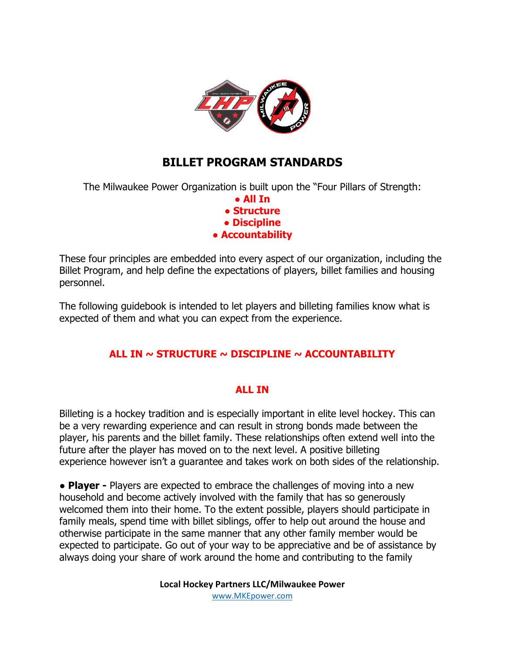

# **BILLET PROGRAM STANDARDS**

The Milwaukee Power Organization is built upon the "Four Pillars of Strength:

**● All In ● Structure ● Discipline ● Accountability**

These four principles are embedded into every aspect of our organization, including the Billet Program, and help define the expectations of players, billet families and housing personnel.

The following guidebook is intended to let players and billeting families know what is expected of them and what you can expect from the experience.

# **ALL IN ~ STRUCTURE ~ DISCIPLINE ~ ACCOUNTABILITY**

### **ALL IN**

Billeting is a hockey tradition and is especially important in elite level hockey. This can be a very rewarding experience and can result in strong bonds made between the player, his parents and the billet family. These relationships often extend well into the future after the player has moved on to the next level. A positive billeting experience however isn't a guarantee and takes work on both sides of the relationship.

**● Player -** Players are expected to embrace the challenges of moving into a new household and become actively involved with the family that has so generously welcomed them into their home. To the extent possible, players should participate in family meals, spend time with billet siblings, offer to help out around the house and otherwise participate in the same manner that any other family member would be expected to participate. Go out of your way to be appreciative and be of assistance by always doing your share of work around the home and contributing to the family

> **Local Hockey Partners LLC/Milwaukee Power** [www.MKEpower.com](http://www.mkepower.com/)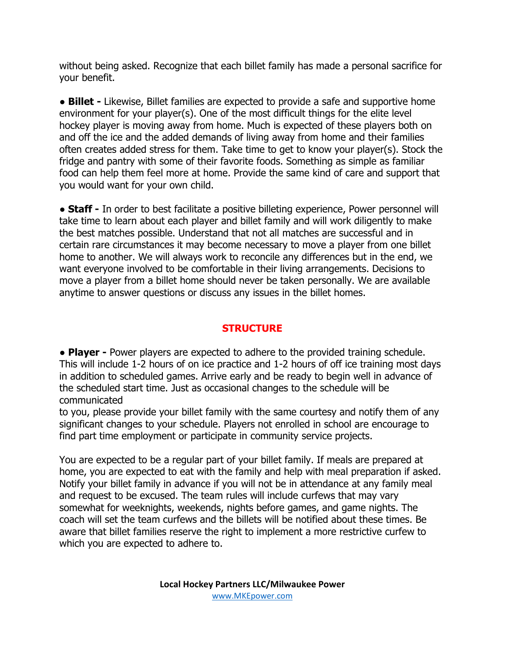without being asked. Recognize that each billet family has made a personal sacrifice for your benefit.

**● Billet -** Likewise, Billet families are expected to provide a safe and supportive home environment for your player(s). One of the most difficult things for the elite level hockey player is moving away from home. Much is expected of these players both on and off the ice and the added demands of living away from home and their families often creates added stress for them. Take time to get to know your player(s). Stock the fridge and pantry with some of their favorite foods. Something as simple as familiar food can help them feel more at home. Provide the same kind of care and support that you would want for your own child.

**● Staff -** In order to best facilitate a positive billeting experience, Power personnel will take time to learn about each player and billet family and will work diligently to make the best matches possible. Understand that not all matches are successful and in certain rare circumstances it may become necessary to move a player from one billet home to another. We will always work to reconcile any differences but in the end, we want everyone involved to be comfortable in their living arrangements. Decisions to move a player from a billet home should never be taken personally. We are available anytime to answer questions or discuss any issues in the billet homes.

## **STRUCTURE**

**● Player -** Power players are expected to adhere to the provided training schedule. This will include 1-2 hours of on ice practice and 1-2 hours of off ice training most days in addition to scheduled games. Arrive early and be ready to begin well in advance of the scheduled start time. Just as occasional changes to the schedule will be communicated

to you, please provide your billet family with the same courtesy and notify them of any significant changes to your schedule. Players not enrolled in school are encourage to find part time employment or participate in community service projects.

You are expected to be a regular part of your billet family. If meals are prepared at home, you are expected to eat with the family and help with meal preparation if asked. Notify your billet family in advance if you will not be in attendance at any family meal and request to be excused. The team rules will include curfews that may vary somewhat for weeknights, weekends, nights before games, and game nights. The coach will set the team curfews and the billets will be notified about these times. Be aware that billet families reserve the right to implement a more restrictive curfew to which you are expected to adhere to.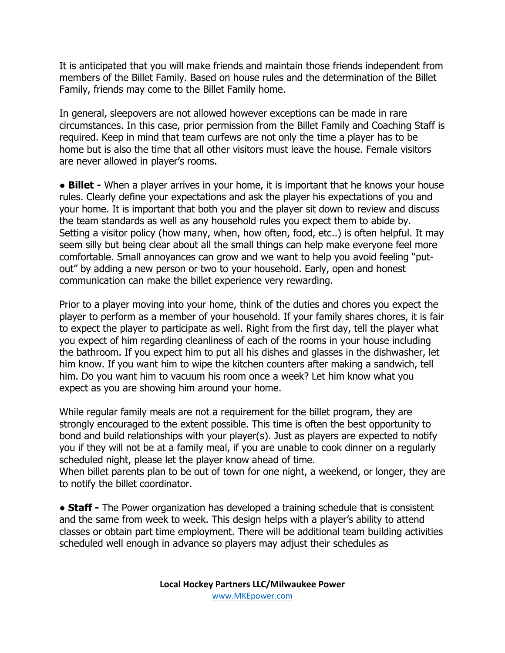It is anticipated that you will make friends and maintain those friends independent from members of the Billet Family. Based on house rules and the determination of the Billet Family, friends may come to the Billet Family home.

In general, sleepovers are not allowed however exceptions can be made in rare circumstances. In this case, prior permission from the Billet Family and Coaching Staff is required. Keep in mind that team curfews are not only the time a player has to be home but is also the time that all other visitors must leave the house. Female visitors are never allowed in player's rooms.

**● Billet -** When a player arrives in your home, it is important that he knows your house rules. Clearly define your expectations and ask the player his expectations of you and your home. It is important that both you and the player sit down to review and discuss the team standards as well as any household rules you expect them to abide by. Setting a visitor policy (how many, when, how often, food, etc..) is often helpful. It may seem silly but being clear about all the small things can help make everyone feel more comfortable. Small annoyances can grow and we want to help you avoid feeling "putout" by adding a new person or two to your household. Early, open and honest communication can make the billet experience very rewarding.

Prior to a player moving into your home, think of the duties and chores you expect the player to perform as a member of your household. If your family shares chores, it is fair to expect the player to participate as well. Right from the first day, tell the player what you expect of him regarding cleanliness of each of the rooms in your house including the bathroom. If you expect him to put all his dishes and glasses in the dishwasher, let him know. If you want him to wipe the kitchen counters after making a sandwich, tell him. Do you want him to vacuum his room once a week? Let him know what you expect as you are showing him around your home.

While regular family meals are not a requirement for the billet program, they are strongly encouraged to the extent possible. This time is often the best opportunity to bond and build relationships with your player(s). Just as players are expected to notify you if they will not be at a family meal, if you are unable to cook dinner on a regularly scheduled night, please let the player know ahead of time.

When billet parents plan to be out of town for one night, a weekend, or longer, they are to notify the billet coordinator.

**● Staff -** The Power organization has developed a training schedule that is consistent and the same from week to week. This design helps with a player's ability to attend classes or obtain part time employment. There will be additional team building activities scheduled well enough in advance so players may adjust their schedules as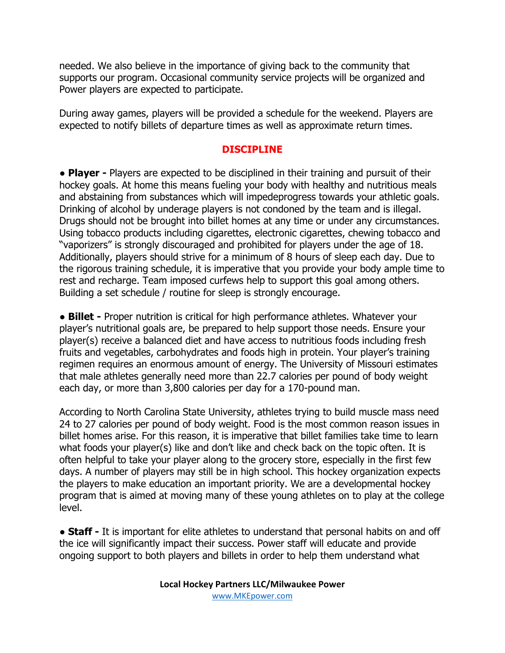needed. We also believe in the importance of giving back to the community that supports our program. Occasional community service projects will be organized and Power players are expected to participate.

During away games, players will be provided a schedule for the weekend. Players are expected to notify billets of departure times as well as approximate return times.

### **DISCIPLINE**

**● Player -** Players are expected to be disciplined in their training and pursuit of their hockey goals. At home this means fueling your body with healthy and nutritious meals and abstaining from substances which will impedeprogress towards your athletic goals. Drinking of alcohol by underage players is not condoned by the team and is illegal. Drugs should not be brought into billet homes at any time or under any circumstances. Using tobacco products including cigarettes, electronic cigarettes, chewing tobacco and "vaporizers" is strongly discouraged and prohibited for players under the age of 18. Additionally, players should strive for a minimum of 8 hours of sleep each day. Due to the rigorous training schedule, it is imperative that you provide your body ample time to rest and recharge. Team imposed curfews help to support this goal among others. Building a set schedule / routine for sleep is strongly encourage.

**● Billet -** Proper nutrition is critical for high performance athletes. Whatever your player's nutritional goals are, be prepared to help support those needs. Ensure your player(s) receive a balanced diet and have access to nutritious foods including fresh fruits and vegetables, carbohydrates and foods high in protein. Your player's training regimen requires an enormous amount of energy. The University of Missouri estimates that male athletes generally need more than 22.7 calories per pound of body weight each day, or more than 3,800 calories per day for a 170-pound man.

According to North Carolina State University, athletes trying to build muscle mass need 24 to 27 calories per pound of body weight. Food is the most common reason issues in billet homes arise. For this reason, it is imperative that billet families take time to learn what foods your player(s) like and don't like and check back on the topic often. It is often helpful to take your player along to the grocery store, especially in the first few days. A number of players may still be in high school. This hockey organization expects the players to make education an important priority. We are a developmental hockey program that is aimed at moving many of these young athletes on to play at the college level.

**● Staff -** It is important for elite athletes to understand that personal habits on and off the ice will significantly impact their success. Power staff will educate and provide ongoing support to both players and billets in order to help them understand what